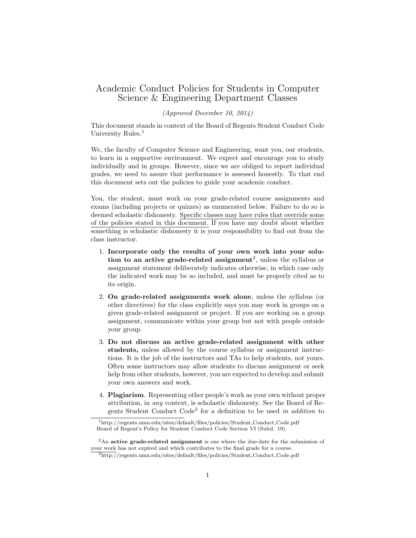## Academic Conduct Policies for Students in Computer Science & Engineering Department Classes

## (Approved December 10, 2014)

This document stands in context of the Board of Regents Student Conduct Code University Rules.<sup>1</sup>

We, the faculty of Computer Science and Engineering, want you, our students, to learn in a supportive environment. We expect and encourage you to study individually and in groups. However, since we are obliged to report individual grades, we need to assure that performance is assessed honestly. To that end this document sets out the policies to guide your academic conduct.

You, the student, must work on your grade-related course assignments and exams (including projects or quizzes) as enumerated below. Failure to do so is deemed scholastic dishonesty. Specific classes may have rules that override some of the policies stated in this document. If you have any doubt about whether something is scholastic dishonesty it is your responsibility to find out from the class instructor.

- 1. Incorporate only the results of your own work into your solution to an active grade-related assignment<sup>2</sup>, unless the syllabus or assignment statement deliberately indicates otherwise, in which case only the indicated work may be so included, and must be properly cited as to its origin.
- 2. On grade-related assignments work alone, unless the syllabus (or other directives) for the class explicitly says you may work in groups on a given grade-related assignment or project. If you are working on a group assignment, communicate within your group but not with people outside your group.
- 3. Do not discuss an active grade-related assignment with other students, unless allowed by the course syllabus or assignment instructions. It is the job of the instructors and TAs to help students, not yours. Often some instructors may allow students to discuss assignment or seek help from other students, however, you are expected to develop and submit your own answers and work.
- 4. Plagiarism. Representing other people's work as your own without proper attribution, in any context, is scholastic dishonesty. See the Board of Regents Student Conduct Code<sup>3</sup> for a definition to be used in addition to

<sup>1</sup>http://regents.umn.edu/sites/default/files/policies/Student Conduct Code.pdf Board of Regent's Policy for Student Conduct Code Section VI (Subd. 19).

 ${}^{2}$ An active grade-related assignment is one where the due-date for the submission of your work has not expired and which contributes to the final grade for a course.

<sup>&</sup>lt;sup>3</sup>http://regents.umn.edu/sites/default/files/policies/Student\_Conduct\_Code.pdf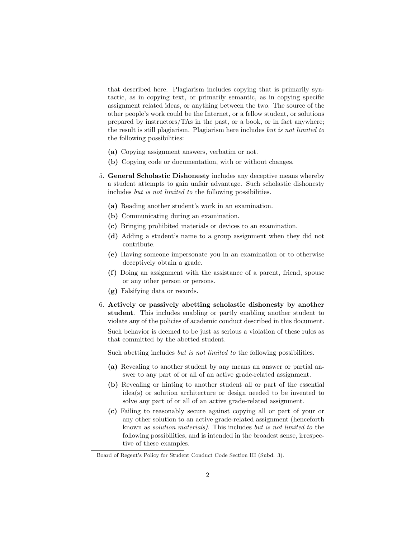that described here. Plagiarism includes copying that is primarily syntactic, as in copying text, or primarily semantic, as in copying specific assignment related ideas, or anything between the two. The source of the other people's work could be the Internet, or a fellow student, or solutions prepared by instructors/TAs in the past, or a book, or in fact anywhere; the result is still plagiarism. Plagiarism here includes but is not limited to the following possibilities:

- (a) Copying assignment answers, verbatim or not.
- (b) Copying code or documentation, with or without changes.
- 5. General Scholastic Dishonesty includes any deceptive means whereby a student attempts to gain unfair advantage. Such scholastic dishonesty includes but is not limited to the following possibilities.
	- (a) Reading another student's work in an examination.
	- (b) Communicating during an examination.
	- (c) Bringing prohibited materials or devices to an examination.
	- (d) Adding a student's name to a group assignment when they did not contribute.
	- (e) Having someone impersonate you in an examination or to otherwise deceptively obtain a grade.
	- (f) Doing an assignment with the assistance of a parent, friend, spouse or any other person or persons.
	- (g) Falsifying data or records.
- 6. Actively or passively abetting scholastic dishonesty by another student. This includes enabling or partly enabling another student to violate any of the policies of academic conduct described in this document.

Such behavior is deemed to be just as serious a violation of these rules as that committed by the abetted student.

Such abetting includes *but is not limited to the following possibilities*.

- (a) Revealing to another student by any means an answer or partial answer to any part of or all of an active grade-related assignment.
- (b) Revealing or hinting to another student all or part of the essential idea(s) or solution architecture or design needed to be invented to solve any part of or all of an active grade-related assignment.
- (c) Failing to reasonably secure against copying all or part of your or any other solution to an active grade-related assignment (henceforth known as solution materials). This includes but is not limited to the following possibilities, and is intended in the broadest sense, irrespective of these examples.

Board of Regent's Policy for Student Conduct Code Section III (Subd. 3).